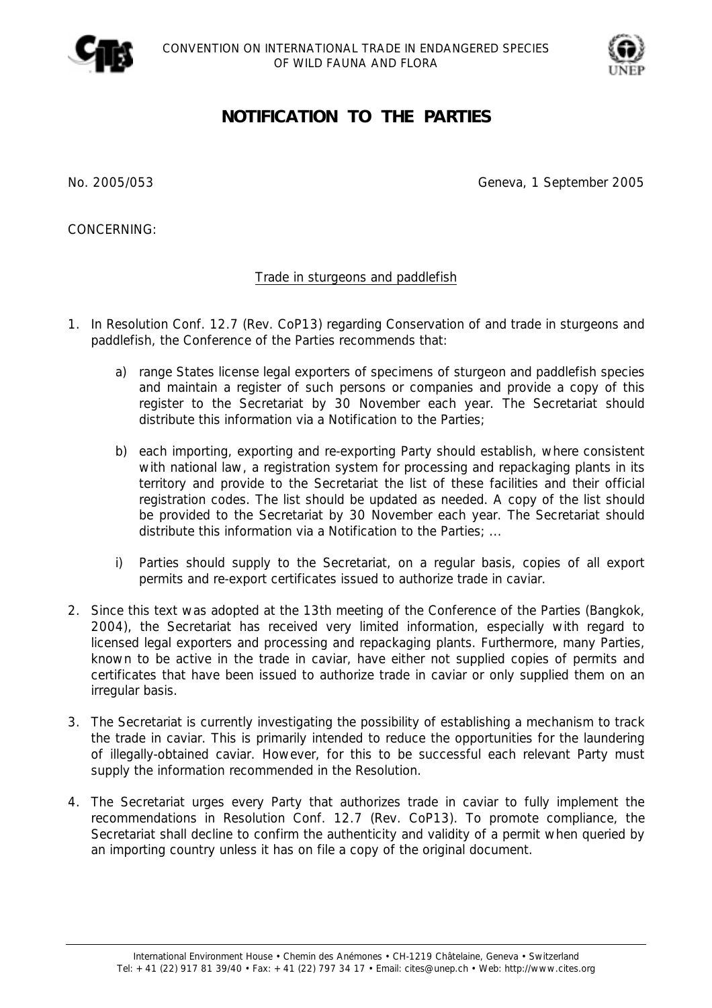



## **NOTIFICATION TO THE PARTIES**

No. 2005/053 Geneva, 1 September 2005

CONCERNING:

## Trade in sturgeons and paddlefish

- 1. In Resolution Conf. 12.7 (Rev. CoP13) regarding Conservation of and trade in sturgeons and paddlefish, the Conference of the Parties recommends that:
	- *a) range States license legal exporters of specimens of sturgeon and paddlefish species and maintain a register of such persons or companies and provide a copy of this register to the Secretariat by 30 November each year. The Secretariat should distribute this information via a Notification to the Parties;*
	- *b) each importing, exporting and re-exporting Party should establish, where consistent with national law, a registration system for processing and repackaging plants in its territory and provide to the Secretariat the list of these facilities and their official registration codes. The list should be updated as needed. A copy of the list should be provided to the Secretariat by 30 November each year. The Secretariat should distribute this information via a Notification to the Parties; ...*
	- *i) Parties should supply to the Secretariat, on a regular basis, copies of all export permits and re-export certificates issued to authorize trade in caviar.*
- 2. Since this text was adopted at the 13th meeting of the Conference of the Parties (Bangkok, 2004), the Secretariat has received very limited information, especially with regard to licensed legal exporters and processing and repackaging plants. Furthermore, many Parties, known to be active in the trade in caviar, have either not supplied copies of permits and certificates that have been issued to authorize trade in caviar or only supplied them on an irregular basis.
- 3. The Secretariat is currently investigating the possibility of establishing a mechanism to track the trade in caviar. This is primarily intended to reduce the opportunities for the laundering of illegally-obtained caviar. However, for this to be successful each relevant Party must supply the information recommended in the Resolution.
- 4. The Secretariat urges every Party that authorizes trade in caviar to fully implement the recommendations in Resolution Conf. 12.7 (Rev. CoP13). To promote compliance, the Secretariat shall decline to confirm the authenticity and validity of a permit when queried by an importing country unless it has on file a copy of the original document.